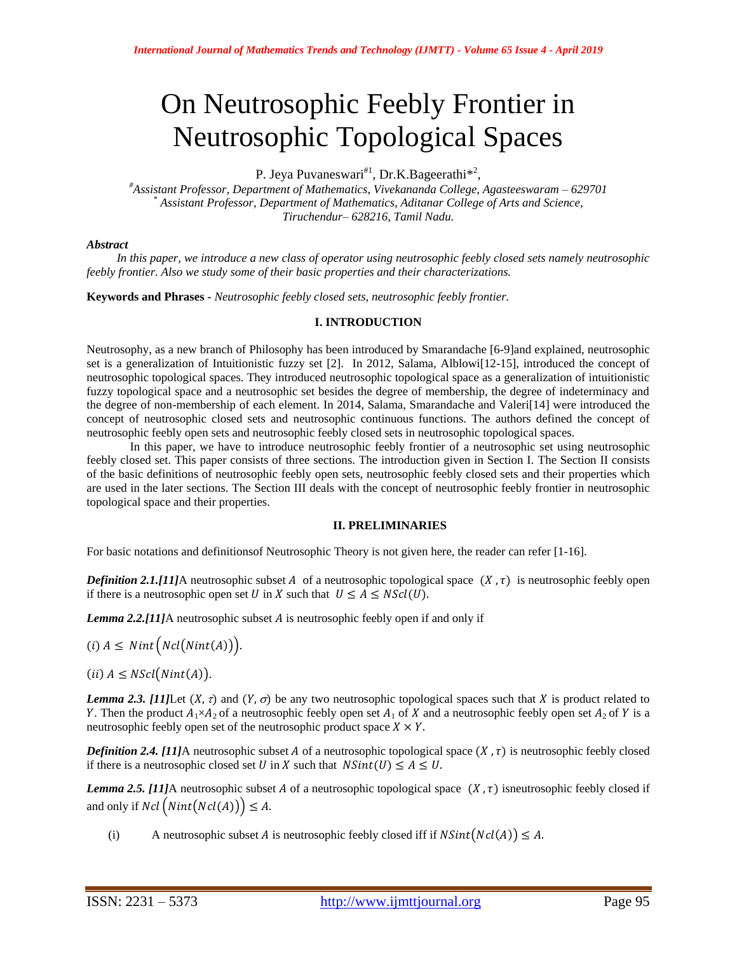# On Neutrosophic Feebly Frontier in Neutrosophic Topological Spaces

P. Jeya Puvaneswari<sup>#1</sup>, Dr.K.Bageerathi<sup>\*2</sup>,

*#Assistant Professor, Department of Mathematics, Vivekananda College, Agasteeswaram – 629701 \* Assistant Professor, Department of Mathematics, Aditanar College of Arts and Science, Tiruchendur– 628216, Tamil Nadu.* 

## *Abstract*

 *In this paper, we introduce a new class of operator using neutrosophic feebly closed sets namely neutrosophic feebly frontier. Also we study some of their basic properties and their characterizations.* 

**Keywords and Phrases -** *Neutrosophic feebly closed sets, neutrosophic feebly frontier.*

## **I. INTRODUCTION**

Neutrosophy, as a new branch of Philosophy has been introduced by Smarandache [6-9]and explained, neutrosophic set is a generalization of Intuitionistic fuzzy set [2]. In 2012, Salama, Alblowi[12-15], introduced the concept of neutrosophic topological spaces. They introduced neutrosophic topological space as a generalization of intuitionistic fuzzy topological space and a neutrosophic set besides the degree of membership, the degree of indeterminacy and the degree of non-membership of each element. In 2014, Salama, Smarandache and Valeri[14] were introduced the concept of neutrosophic closed sets and neutrosophic continuous functions. The authors defined the concept of neutrosophic feebly open sets and neutrosophic feebly closed sets in neutrosophic topological spaces.

In this paper, we have to introduce neutrosophic feebly frontier of a neutrosophic set using neutrosophic feebly closed set. This paper consists of three sections. The introduction given in Section I. The Section II consists of the basic definitions of neutrosophic feebly open sets, neutrosophic feebly closed sets and their properties which are used in the later sections. The Section III deals with the concept of neutrosophic feebly frontier in neutrosophic topological space and their properties.

## **II. PRELIMINARIES**

For basic notations and definitionsof Neutrosophic Theory is not given here, the reader can refer [1-16].

*Definition 2.1.*[11]A neutrosophic subset A of a neutrosophic topological space  $(X, \tau)$  is neutrosophic feebly open if there is a neutrosophic open set U in X such that  $U \leq A \leq NScl(U)$ .

*Lemma 2.2.[11]*A neutrosophic subset A is neutrosophic feebly open if and only if

- $(i)$   $A \leq Nint(Ncl(Nint(A))).$
- $(ii)$   $A \leq NScl(Nint(A)).$

*Lemma 2.3. [11]*Let  $(X, \tau)$  and  $(Y, \sigma)$  be any two neutrosophic topological spaces such that X is product related to Y. Then the product  $A_1 \times A_2$  of a neutrosophic feebly open set  $A_1$  of X and a neutrosophic feebly open set  $A_2$  of Y is a neutrosophic feebly open set of the neutrosophic product space  $X \times Y$ .

*Definition 2.4. [11]A* neutrosophic subset A of a neutrosophic topological space  $(X, \tau)$  is neutrosophic feebly closed if there is a neutrosophic closed set U in X such that  $NSint(U) \leq A \leq U$ .

*Lemma 2.5. [11]*A neutrosophic subset A of a neutrosophic topological space  $(X, \tau)$  isneutrosophic feebly closed if and only if  $Ncl(Nint(Ncl(A))) \leq A$ .

(i) A neutrosophic subset A is neutrosophic feebly closed iff if  $NSint(Ncl(A)) \leq A$ .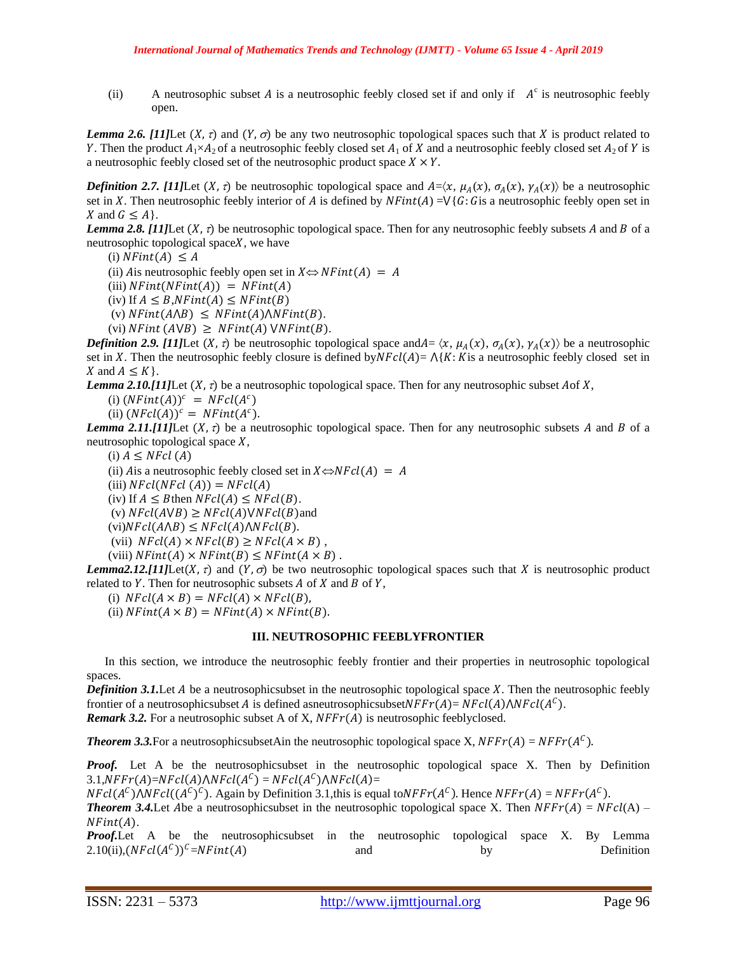(ii) A neutrosophic subset A is a neutrosophic feebly closed set if and only if  $A<sup>c</sup>$  is neutrosophic feebly open.

*Lemma* 2.6. [11]Let  $(X, \tau)$  and  $(Y, \sigma)$  be any two neutrosophic topological spaces such that X is product related to Y. Then the product  $A_1 \times A_2$  of a neutrosophic feebly closed set  $A_1$  of X and a neutrosophic feebly closed set  $A_2$  of Y is a neutrosophic feebly closed set of the neutrosophic product space  $X \times Y$ .

*Definition 2.7. [11]*Let  $(X, \tau)$  be neutrosophic topological space and  $A = \langle X, \mu_A(X), \sigma_A(X), \gamma_A(X) \rangle$  be a neutrosophic set in X. Then neutrosophic feebly interior of A is defined by  $NFint(A) = \sqrt{G}$ : Gis a neutrosophic feebly open set in X and  $G \leq A$ .

*Lemma 2.8. [11]*Let  $(X, \tau)$  be neutrosophic topological space. Then for any neutrosophic feebly subsets A and B of a neutrosophic topological space $X$ , we have

(i)  $NFint(A) \leq A$ 

(ii) A is neutrosophic feebly open set in  $X \Leftrightarrow NFint(A) = A$ 

- (iii)  $NFint(NFint(A)) = NFint(A)$
- (iv) If  $A \leq B$ , NFint(A)  $\leq$  NFint(B)

(v)  $NFint(A \wedge B) \leq NFint(A) \wedge NFint(B)$ .

(vi)  $NFint (AVB) \geq NFint(A) VNFint(B)$ .

*Definition 2.9. [11]*Let  $(X, \tau)$  be neutrosophic topological space and  $A = \langle x, \mu_A(x), \sigma_A(x), \gamma_A(x) \rangle$  be a neutrosophic set in X. Then the neutrosophic feebly closure is defined by $NFcl(A) = \Lambda\{K: K$  is a neutrosophic feebly closed set in X and  $A \leq K$ .

*Lemma 2.10.[11]*Let  $(X, \tau)$  be a neutrosophic topological space. Then for any neutrosophic subset Aof X,

(i)  $(NFint(A))^c = NFcl(A^c)$ 

(ii)  $(NFcl(A))^c = NFint(A^c)$ .

*Lemma 2.11.*[11]Let  $(X, \tau)$  be a neutrosophic topological space. Then for any neutrosophic subsets A and B of a neutrosophic topological space  $X$ ,

(i)  $A \leq NFcl(A)$ 

(ii) Ais a neutrosophic feebly closed set in  $X \Leftrightarrow NFcl(A) = A$ 

(iii)  $NFcl(NFcl(A)) = NFcl(A)$ 

(iv) If  $A \leq B$ then  $NFcl(A) \leq NFcl(B)$ .

(v)  $NFcl(AVB) \geq NFcl(A)VNFcl(B)$  and

 $(vi)NFcl(A \wedge B) \leq NFcl(A) \wedge NFcl(B).$ 

(vii)  $NFcl(A) \times NFcl(B) \geq NFcl(A \times B)$ ,

(viii)  $NFint(A) \times NFint(B) \leq NFint(A \times B)$ .

*Lemma2.12.[11]*Let( $X$ ,  $\tau$ ) and  $(Y, \sigma)$  be two neutrosophic topological spaces such that  $X$  is neutrosophic product related to  $Y$ . Then for neutrosophic subsets  $A$  of  $X$  and  $B$  of  $Y$ ,

(i)  $NFcl(A \times B) = NFcl(A) \times NFcl(B),$ 

(ii)  $NFint(A \times B) = NFint(A) \times NFint(B)$ .

#### **III. NEUTROSOPHIC FEEBLYFRONTIER**

In this section, we introduce the neutrosophic feebly frontier and their properties in neutrosophic topological spaces.

*Definition 3.1.* Let  $A$  be a neutrosophicsubset in the neutrosophic topological space  $X$ . Then the neutrosophic feebly frontier of a neutrosophicsubset A is defined asneutrosophicsubsetNFF $r(A)$  = NFcl(A)  $\wedge$ NFcl(A<sup>C</sup>).

*Remark 3.2.* For a neutrosophic subset A of X,  $NFFT(A)$  is neutrosophic feeblyclosed.

**Theorem 3.3.** For a neutrosophicsubsetAin the neutrosophic topological space X,  $NFFT(A) = NFFT(A^C)$ .

*Proof.* Let A be the neutrosophicsubset in the neutrosophic topological space X. Then by Definition 3.1,NFF $r(A)=NFcl(A)\wedge NFcl(A^C)=NFcl(A^C)\wedge NFcl(A)=$ 

 $NFcl(A^C)\wedge NFcl((A^C)^C)$ . Again by Definition 3.1, this is equal to  $NFFr(A^C)$ . Hence  $NFFr(A) = NFFr(A^C)$ .

**Theorem 3.4.** Let Abe a neutrosophicsubset in the neutrosophic topological space X. Then  $NFFr(A) = NFcl(A)$  –  $NFint(A)$ .

*Proof.*Let A be the neutrosophicsubset in the neutrosophic topological space X. By Lemma  $2.10(ii),(NFcl(A^C))^C=NFint(A)$  and by Definition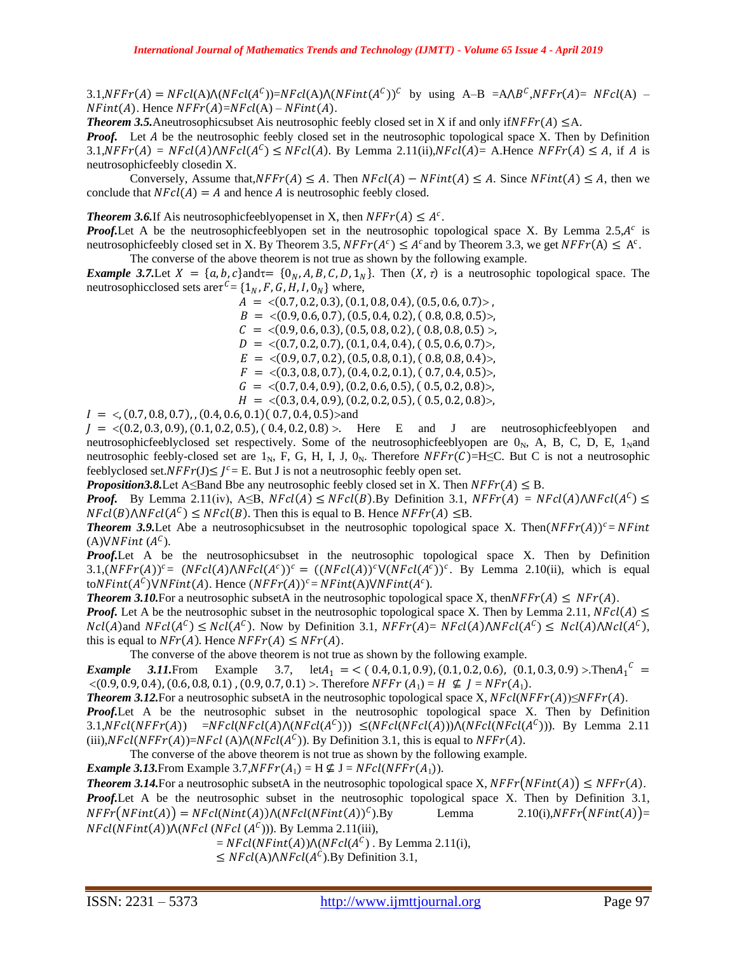$3.1, NFFT(A) = NFcl(A)\wedge (NFcl(A^C)) = NFcl(A)\wedge (NFint(A^C))^C$  by using A-B =A $\wedge B^C, NFFT(A) = NFcl(A)$  - $NFint(A)$ . Hence  $NFFr(A)=NFcl(A)-NFint(A)$ .

**Theorem 3.5.** Aneutrosophicsubset Ais neutrosophic feebly closed set in X if and only if  $NFFT(A) \leq A$ .

*Proof.* Let A be the neutrosophic feebly closed set in the neutrosophic topological space X. Then by Definition  $3.1, NFFT(A) = NFcl(A)\wedge NFcl(A^C) \leq NFcl(A)$ . By Lemma  $2.11(ii)$ ,  $NFcl(A) = A$ . Hence  $NFFT(A) \leq A$ , if A is neutrosophicfeebly closedin X.

Conversely, Assume that, $NFFr(A) \leq A$ . Then  $NFcl(A) - NFint(A) \leq A$ . Since  $NFint(A) \leq A$ , then we conclude that  $NFCI(A) = A$  and hence A is neutrosophic feebly closed.

**Theorem 3.6.** If A is neutrosophic feedly open set in X, then  $NFFr(A) \leq A^c$ .

**Proof.** Let A be the neutrosophicfeeblyopen set in the neutrosophic topological space X. By Lemma 2.5, A<sup>c</sup> is neutrosophicfeebly closed set in X. By Theorem 3.5,  $NFFr(A^c) \leq A^c$  and by Theorem 3.3, we get  $NFFr(A) \leq A^c$ . The converse of the above theorem is not true as shown by the following example.

*Example 3.7.* Let  $X = \{a, b, c\}$  and  $\tau = \{0_N, A, B, C, D, 1_N\}$ . Then  $(X, \tau)$  is a neutrosophic topological space. The neutrosophicclosed sets are  $\tau^c = \{1_N, F, G, H, I, 0_N\}$  where,

 $A = \langle (0.7, 0.2, 0.3), (0.1, 0.8, 0.4), (0.5, 0.6, 0.7) \rangle$ ,  $B = \langle (0.9, 0.6, 0.7), (0.5, 0.4, 0.2), (0.8, 0.8, 0.5) \rangle$  $C = \langle (0.9, 0.6, 0.3), (0.5, 0.8, 0.2), (0.8, 0.8, 0.5) \rangle$  $D = \langle (0.7, 0.2, 0.7), (0.1, 0.4, 0.4), (0.5, 0.6, 0.7) \rangle$  $E = \langle (0.9, 0.7, 0.2), (0.5, 0.8, 0.1), (0.8, 0.8, 0.4) \rangle$  $F = \langle (0.3, 0.8, 0.7), (0.4, 0.2, 0.1), (0.7, 0.4, 0.5) \rangle$  $G = \langle (0.7, 0.4, 0.9), (0.2, 0.6, 0.5), (0.5, 0.2, 0.8) \rangle$  $H = \langle (0.3, 0.4, 0.9), (0.2, 0.2, 0.5), (0.5, 0.2, 0.8) \rangle$ 

 $I = \langle (0.7, 0.8, 0.7), (0.4, 0.6, 0.1), (0.7, 0.4, 0.5) \rangle$  and

 $J = \langle (0.2, 0.3, 0.9), (0.1, 0.2, 0.5), (0.4, 0.2, 0.8) \rangle$ . Here E and J are neutrosophicfeeblyopen and neutrosophicfeeblyclosed set respectively. Some of the neutrosophicfeeblyopen are  $0<sub>N</sub>$ , A, B, C, D, E, 1<sub>N</sub>and neutrosophic feebly-closed set are 1<sub>N</sub>, F, G, H, I, J, 0<sub>N</sub>. Therefore  $NFFT(C)=H \leq C$ . But C is not a neutrosophic feeblyclosed set. $NFFT(J) \leq J^c = E$ . But J is not a neutrosophic feebly open set.

*Proposition3.8.* Let A≤Band Bbe any neutrosophic feebly closed set in X. Then  $NFFT(A) \leq B$ .

*Proof.* By Lemma 2.11(iv), A 
subseteq B, NFcl(A) 
subseteq NFcl(B). By Definition 3.1,  $NFFr(A) = NFCI(A) \wedge NFcI(A^c)$  $NFcl(B)\wedge NFcl(A^C) \leq NFcl(B)$ . Then this is equal to B. Hence  $NFFr(A) \leq B$ .

**Theorem 3.9.**Let Abe a neutrosophicsubset in the neutrosophic topological space X. Then $(NFFT(A))^c = NFint$ (A) $VNFint (A^C)$ .

*Proof.*Let A be the neutrosophicsubset in the neutrosophic topological space X. Then by Definition 3.1,(NFFr(A))<sup>c</sup>= (NFcl(A)\NFcl(A<sup>c</sup>))<sup>c</sup> = ((NFcl(A))<sup>c</sup>V(NFcl(A<sup>c</sup>))<sup>c</sup>. By Lemma 2.10(ii), which is equal toNFint( $A^C$ )VNFint(A). Hence (NFFr(A))<sup>c</sup>= NFint(A)VNFint( $A^C$ ).

**Theorem 3.10.** For a neutrosophic subsetA in the neutrosophic topological space X, then  $NFFr(A) \leq NFF(A)$ .

*Proof.* Let A be the neutrosophic subset in the neutrosophic topological space X. Then by Lemma 2.11,  $NFcl(A) \leq$  $Ncl(A)$  and  $NFcl(A^C) \leq Ncl(A^C)$ . Now by Definition 3.1,  $NFFr(A) = NFcl(A) \wedge NFcl(A^C) \leq Ncl(A) \wedge Ncl(A^C)$ , this is equal to  $NFr(A)$ . Hence  $NFFT(A) \leq NFr(A)$ .

The converse of the above theorem is not true as shown by the following example.

*Example* 3.11. From Example 3.7,  $let A_1 = \langle (0.4, 0.1, 0.9), (0.1, 0.2, 0.6), (0.1, 0.3, 0.9) \rangle$ . Then  $A_1^C =$  $\langle (0.9, 0.9, 0.4), (0.6, 0.8, 0.1), (0.9, 0.7, 0.1) \rangle$ . Therefore NFF  $r(A_1) = H \nsubseteq I = NFr(A_1)$ .

*Theorem 3.12.* For a neutrosophic subsetA in the neutrosophic topological space X,  $NFcl(NFFT(A)) \leq NFFT(A)$ .

*Proof.* Let A be the neutrosophic subset in the neutrosophic topological space X. Then by Definition 3.1,NFcl(NFFr(A)) =NFcl(NFcl(A) $\Lambda(NFcl(A^C))$ )  $\leq (NFcl(NFcl(A)))\Lambda(NFcl(NFcl(A^C)))$ . By Lemma 2.11 (iii), $NFcl(NFFr(A))=NFcl(A)\Lambda(NFcl(A^C))$ . By Definition 3.1, this is equal to  $NFFr(A)$ .

The converse of the above theorem is not true as shown by the following example.

*Example 3.13.* From Example 3.7,  $NFFT(A_1) = H \not\subseteq J = NFcl(NFFT(A_1)).$ 

**Theorem 3.14.** For a neutrosophic subsetA in the neutrosophic topological space X,  $NFFr(NFint(A)) \leq NFFr(A)$ . *Proof.*Let A be the neutrosophic subset in the neutrosophic topological space X. Then by Definition 3.1,  $NFFT(NFint(A)) = NFcl(Nint(A)) \wedge (NFcl(NFint(A)))^C$ Lemma 2.10(i),  $NFFr(NFint(A)) =$  $NFcl(NFint(A)) \wedge (NFcl(NFcl(A^C)))$ . By Lemma 2.11(iii),

 $=$   $NFcl(NFint(A))\wedge (NFcl(A^C)$ . By Lemma 2.11(i),

 $\leq$  NFcl(A) $\wedge$ NFcl(A<sup>C</sup>).By Definition 3.1,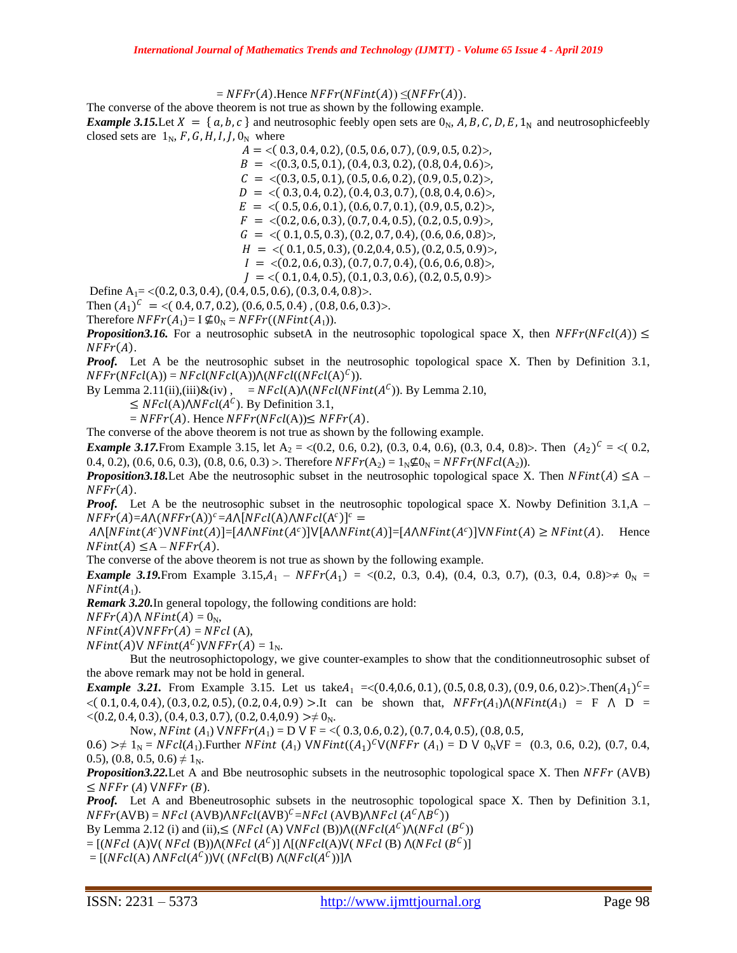$$
= NFFT(A). Hence NFFT(NFint(A)) \leq (NFFT(A)).
$$

The converse of the above theorem is not true as shown by the following example.

*Example 3.15.Let*  $X = \{a, b, c\}$  and neutrosophic feebly open sets are  $0<sub>N</sub>$ , A, B, C, D, E, 1<sub>N</sub> and neutrosophicfeebly closed sets are  $1_N$ , F, G, H, I, J, O<sub>N</sub> where

 $A = \langle (0.3, 0.4, 0.2), (0.5, 0.6, 0.7), (0.9, 0.5, 0.2) \rangle$  $B = \langle (0.3, 0.5, 0.1), (0.4, 0.3, 0.2), (0.8, 0.4, 0.6) \rangle$ ,  $C = \langle (0.3, 0.5, 0.1), (0.5, 0.6, 0.2), (0.9, 0.5, 0.2) \rangle$  $D = \langle (0.3, 0.4, 0.2), (0.4, 0.3, 0.7), (0.8, 0.4, 0.6) \rangle$  $E = \langle (0.5, 0.6, 0.1), (0.6, 0.7, 0.1), (0.9, 0.5, 0.2) \rangle$  $F = \langle (0.2, 0.6, 0.3), (0.7, 0.4, 0.5), (0.2, 0.5, 0.9) \rangle$  $G = \langle (0.1, 0.5, 0.3), (0.2, 0.7, 0.4), (0.6, 0.6, 0.8) \rangle$  $H = \langle (0.1, 0.5, 0.3), (0.2, 0.4, 0.5), (0.2, 0.5, 0.9) \rangle$  $I = \langle (0.2, 0.6, 0.3), (0.7, 0.7, 0.4), (0.6, 0.6, 0.8) \rangle$  $J = \langle (0.1, 0.4, 0.5), (0.1, 0.3, 0.6), (0.2, 0.5, 0.9) \rangle$ 

Define  $A_1 = \langle (0.2, 0.3, 0.4), (0.4, 0.5, 0.6), (0.3, 0.4, 0.8) \rangle$ .

Then  $(A_1)^c = \langle (0.4, 0.7, 0.2), (0.6, 0.5, 0.4), (0.8, 0.6, 0.3) \rangle$ .

Therefore  $NFFT(A_1)= I \not\subseteq 0_N = NFFT((NFint(A_1)).$ 

*Proposition3.16.* For a neutrosophic subsetA in the neutrosophic topological space X, then  $NFFr(NFcl(A)) \leq$  $NFFr(A)$ .

*Proof.* Let A be the neutrosophic subset in the neutrosophic topological space X. Then by Definition 3.1,  $NFFT(NFcl(A)) = NFcl(NFcl(A)) \Lambda (NFcl((NFcl(A)^{C})).$ 

By Lemma 2.11(ii),(iii) $\&$ (iv), = NFcl(A) $\wedge$ (NFcl(NFint( $A^C$ )). By Lemma 2.10,

 $\leq$  NFcl(A) $\wedge$ NFcl(A<sup>C</sup>). By Definition 3.1,

 $= NFFT(A)$ . Hence  $NFFT(NFcl(A)) \leq NFFT(A)$ .

The converse of the above theorem is not true as shown by the following example.

*Example 3.17.* From Example 3.15, let  $A_2 = \langle (0.2, 0.6, 0.2), (0.3, 0.4, 0.6), (0.3, 0.4, 0.8) \rangle$ . Then  $(A_2)^c = \langle (0.2, 0.4, 0.4), (0.3, 0.4, 0.7), (0.3, 0.4, 0.7), (0.3, 0.4, 0.7), (0.3, 0.4, 0.7), (0.3, 0.4, 0.7), (0.3, 0.4, 0.7), (0.3,$ 0.4, 0.2), (0.6, 0.6, 0.3), (0.8, 0.6, 0.3) >. Therefore  $NFFr(A_2) = 1_N \nsubseteq 0_N = NFFr(NFcl(A_2)).$ 

*Proposition3.18.* Let Abe the neutrosophic subset in the neutrosophic topological space X. Then  $NFint(A) \leq A NFFr(A)$ .

*Proof.* Let A be the neutrosophic subset in the neutrosophic topological space X. Nowby Definition 3.1, A –  $NFFT(A)=A\wedge (NFFT(A))^c=A\wedge [NFcl(A)\wedge NFcl(A^c)]^c=$ 

 $A \wedge [NFint(A^c) \vee NFint(A)] = [A \wedge NFint(A^c)] \vee [A \wedge NFint(A)] = [A \wedge NFint(A^c)] \vee NFint(A) \geq NFint(A)$ . Hence  $NFint(A) \leq A-NFFT(A)$ .

The converse of the above theorem is not true as shown by the following example.

*Example 3.19.* From Example 3.15, $A_1$  –  $NFF(A_1)$  = <(0.2, 0.3, 0.4), (0.4, 0.3, 0.7), (0.3, 0.4, 0.8)  $\neq 0_N$  =  $NFint(A_1)$ .

*Remark 3.20.*In general topology, the following conditions are hold:

 $NFFr(A) \wedge NFint(A) = 0_N$ ,

 $NFint(A) \vee NFFr(A) = NFcl(A),$ 

 $NFint(A)VNFint(A^C)VNFFr(A) = 1_N$ .

But the neutrosophictopology, we give counter-examples to show that the conditionneutrosophic subset of the above remark may not be hold in general.

*Example 3.21.* From Example 3.15. Let us take $A_1 = \langle (0.4, 0.6, 0.1), (0.5, 0.8, 0.3), (0.9, 0.6, 0.2) \rangle$ . Then  $(A_1)^c$  $< (0.1, 0.4, 0.4), (0.3, 0.2, 0.5), (0.2, 0.4, 0.9) >$ .It can be shown that,  $NFF(A_1)\wedge (NFint(A_1)) = F \wedge D =$  $\langle (0.2, 0.4, 0.3), (0.4, 0.3, 0.7), (0.2, 0.4, 0.9) \rangle \neq 0_N$ .

Now, NFint  $(A_1)$   $\forall NFFr(A_1) = D \vee F = \langle (0.3, 0.6, 0.2), (0.7, 0.4, 0.5), (0.8, 0.5,$ 

0.6) >  $\neq 1_N = NFcl(A_1)$ . Further NFint  $(A_1)$  VNFint $((A_1)^C V(NFFr (A_1) = D V 0_N VF = (0.3, 0.6, 0.2), (0.7, 0.4,$ 0.5), (0.8, 0.5, 0.6)  $\neq$  1<sub>N</sub>.

*Proposition3.22.* Let A and Bbe neutrosophic subsets in the neutrosophic topological space X. Then NFFr (AVB)  $\leq$  NFFr (A) VNFFr (B).

*Proof.* Let A and Bbeneutrosophic subsets in the neutrosophic topological space X. Then by Definition 3.1,  $NFFT(AVB) = NFcl (AVB)/NFcl(AVB)^{C} = NFcl (AVB)/NFcl (A^{C}/B^{C}))$ 

By Lemma 2.12 (i) and (ii),  $\leq$  (NFcl (A) VNFcl (B)) $\Lambda((NFcl(A^c)\Lambda(NFcl(B^c)))$ 

= [(NFcl (A)V( NFcl (B)) $\Lambda(NFcl\; (A^C)]\; \Lambda[(NFcl(A)V(\; NFcl\; (B)\; \Lambda(NFcl\; (B^C)]$ 

 $= [(NFcl(A) \triangle NFcl(A^C))\vee ((NFcl(B) \triangle (NFcl(A^C))]\wedge$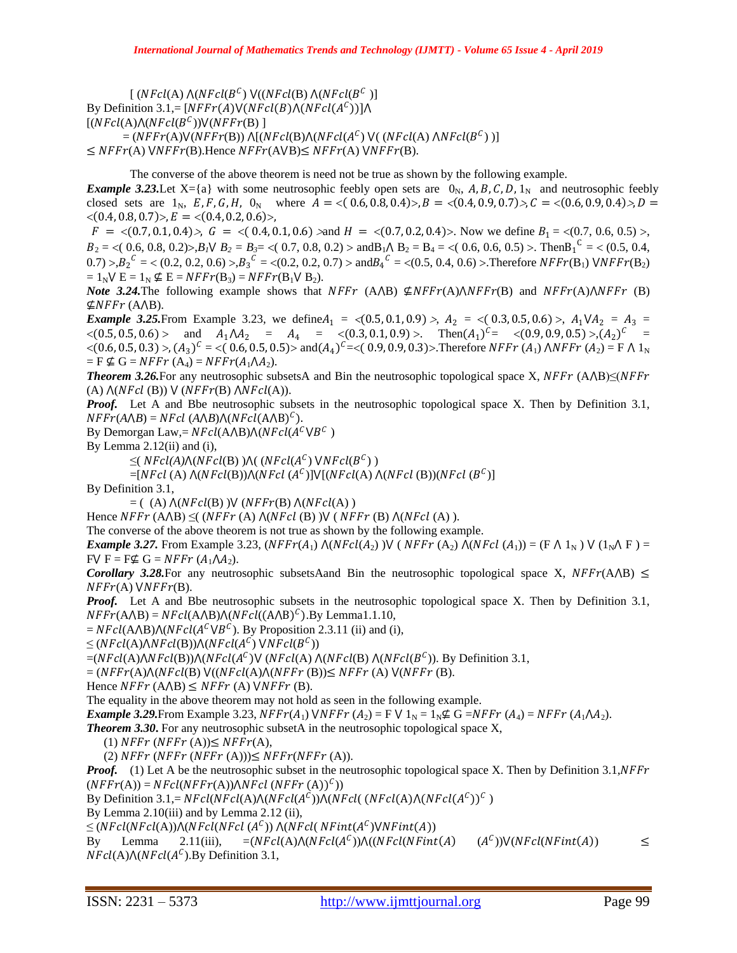[ (NFcl(A)  $\Lambda(NFcl(B^C)$   $\mathsf{V}((NFcl(\mathrm{B})\ \Lambda(NFcl(B^C\ ))$ By Definition 3.1,= [ $NFFT(A)V(NFcl(B)\Lambda(NFcl(A^{C}))$ ] $\Lambda$  $[(NFcl(A)\Lambda(NFcl(B^{C}))\vee (NFFr(B))$ ]  $=(NFFr(A)V(NFFr(B))\Lambda[(NFcl(B)\Lambda(NFcl(A^{C})V((NFcl(A)\Lambda NFcl(B^{C})))]$  $\leq$  NFFr(A)  $\forall$ NFFr(B).Hence NFFr(A $\forall$ B) $\leq$  NFFr(A)  $\forall$ NFFr(B).

The converse of the above theorem is need not be true as shown by the following example. *Example 3.23.* Let X={a} with some neutrosophic feebly open sets are  $0_N$ , A, B, C, D, 1<sub>N</sub> and neutrosophic feebly closed sets are  $1_N$ ,  $E, F, G, H$ ,  $0_N$  where  $A = \langle (0.6, 0.8, 0.4) \rangle, B = \langle (0.4, 0.9, 0.7) \rangle, C = \langle (0.6, 0.9, 0.4) \rangle, D =$  $\langle (0.4, 0.8, 0.7) \rangle, E = \langle (0.4, 0.2, 0.6) \rangle,$ 

 $F = \langle (0.7, 0.1, 0.4) \rangle$ ,  $G = \langle (0.4, 0.1, 0.6) \rangle$  and  $H = \langle (0.7, 0.2, 0.4) \rangle$ . Now we define  $B_1 = \langle (0.7, 0.6, 0.5) \rangle$ ,  $B_2 = \langle (0.6, 0.8, 0.2) \rangle$ , $B_1 \vee B_2 = B_3 = \langle (0.7, 0.8, 0.2) \rangle$  and  $B_1 \wedge B_2 = B_4 = \langle (0.6, 0.6, 0.5) \rangle$ . Then  $B_1^C = \langle (0.5, 0.4, 0.5) \rangle$  $(0.7) > B_2^C = \langle (0.2, 0.2, 0.6) > B_3^C = \langle (0.2, 0.2, 0.7) > \text{and} B_4^C = \langle (0.5, 0.4, 0.6) > \text{Therefore } NFFr(B_1) \text{ } VNFFr(B_2)$  $= 1_N \mathsf{V} \mathsf{E} = 1_N \nsubseteq \mathsf{E} = NFFT(\mathsf{B}_3) = NFFT(\mathsf{B}_1 \mathsf{V} \mathsf{B}_2).$ 

*Note* 3.24. The following example shows that  $NFFT(A \triangle B) \not\subseteq NFFT(A) \triangle NFFT(B)$  and  $NFFT(A) \triangle NFFT(B)$  $\nsubseteq$ NFFr (A $\land$ B).

*Example 3.25.* From Example 3.23, we define  $A_1 = \langle (0.5, 0.1, 0.9) \rangle$ ,  $A_2 = \langle (0.3, 0.5, 0.6) \rangle$ ,  $A_1 \vee A_2 = A_3 = \langle (0.3, 0.5, 0.6) \rangle$  $\langle (0.5, 0.5, 0.6) \rangle$  and  $A_1 \Lambda A_2 = A_4 = \langle (0.3, 0.1, 0.9) \rangle$ . Then $(A_1)^c = \langle (0.9, 0.9, 0.5) \rangle, (A_2)^c =$  $\langle (0.6, 0.5, 0.3) \rangle$ ,  $(A_3)^c = \langle (0.6, 0.5, 0.5) \rangle$  and  $(A_4)^c = \langle (0.9, 0.9, 0.3) \rangle$ . Therefore  $NFFT(A_1)$   $\triangle NFFT(A_2) = F \triangle 1_N$  $=$  F  $\nsubseteq$  G = NFFr (A<sub>4</sub>) = NFFr(A<sub>1</sub> $\Lambda$ A<sub>2</sub>).

*Theorem 3.26.*For any neutrosophic subsetsA and Bin the neutrosophic topological space X,  $NFFT (A \triangle B) \leq (NFFT (B \triangle B) \triangle B)$ (A)  $\Lambda(NFcl(B))$  V (NFFr(B)  $\Lambda NFcl(A)$ ).

*Proof.* Let A and Bbe neutrosophic subsets in the neutrosophic topological space X. Then by Definition 3.1,  $NFFT(A \triangle B) = NFcl (A \triangle B) \triangle (NFcl(A \triangle B)^{C}).$ 

By Demorgan Law,=  $NFcl(A \triangle B) \wedge (NFcl(A^C \vee B^C))$ 

By Lemma  $2.12(i)$  and  $(i)$ ,

 $\leq (NFcl(A)\Lambda(NFcl(B))\Lambda((NFcl(A^C)\text{ VNF}cl(B^C))$ 

 $=[NFcl(A) \Lambda(NFcl(B)) \Lambda(NFcl(A^C)] \vee [(NFcl(A) \Lambda(NFcl(B))(NFcl(B^C)]$ 

By Definition 3.1,

 $= ($  (A)  $\Lambda(NFcl(B)) \vee (NFFr(B) \wedge (NFcl(A)))$ 

Hence  $NFFT(A \triangle B) \leq (NFFT(A) \triangle (NFcl(B)) \vee (NFFT(B) \triangle (NFcl(A))).$ 

The converse of the above theorem is not true as shown by the following example.

*Example 3.27.* From Example 3.23,  $(NFFr(A_1) \Lambda(NFcl(A_2)) \text{V} (NFFr(A_2) \Lambda(NFcl(A_1)) = (F \Lambda 1_N) \text{V} (1_N \Lambda F) =$  $FV F = F \nsubseteq G = NFFT (A_1 \Lambda A_2).$ 

*Corollary 3.28.* For any neutrosophic subsets Aand Bin the neutrosophic topological space X,  $NFFr(A \triangle B) \leq$  $NFFr(A)$   $VNFFr(B)$ .

*Proof.* Let A and Bbe neutrosophic subsets in the neutrosophic topological space X. Then by Definition 3.1,  $NFFT(A \triangle B) = NFcl(A \triangle B) \triangle (NFcl((A \triangle B)^{C}).$  By Lemma1.1.10,

 $=$  NFcl(A $\triangle$ B) $\triangle$ (NFcl(A<sup>C</sup> $\vee$ B<sup>C</sup>). By Proposition 2.3.11 (ii) and (i),

 $\leq (NFcl(A)\wedge NFcl(B))\wedge (NFcl(A^C) \vee NFcl(B^C))$ 

 $=(NFcl(A)\wedge NFcl(B))\wedge (NFcl(A^C)\vee (NFcl(A)\wedge (NFcl(B)\wedge (NFcl(B^C)).$  By Definition 3.1,

 $=(NFFT(A)\Lambda(NFcl(B) V((NFcl(A)\Lambda(NFFT(B))) \leq NFFT(A) V(NFFT(B)).$ 

Hence  $NFFT(AAB) \leq NFFT(A) \text{ VNFFT}(B)$ .

The equality in the above theorem may not hold as seen in the following example.

*Example 3.29.* From Example 3.23,  $NFFr(A_1)$   $NNFFr(A_2) = F V 1_N = 1_N \nsubseteq G = NFFT(A_1) = NFFT(A_1 \setminus A_2)$ .

*Theorem 3.30***.** For any neutrosophic subsetA in the neutrosophic topological space X,

(1)  $NFFT(NFFT(A)) \leq NFFT(A),$ 

(2)  $NFFT(NFFT(A))) \leq NFFT(NFFT(A)).$ 

*Proof.* (1) Let A be the neutrosophic subset in the neutrosophic topological space X. Then by Definition 3.1, NFF  $(NFFT(A)) = NFcl(NFFT(A))\triangle NFcl(NFFT(A))^C)$ 

By Definition 3.1,=  $NFcl(NFcl(A)\Lambda(NFcl(A^C))\Lambda(NFcl((NFcl(A)\Lambda(NFcl(A^C))^C))$ 

By Lemma 2.10(iii) and by Lemma 2.12 (ii),

 $\leq$  (NFcl(NFcl(A)) $\wedge$ (NFcl(NFcl(A<sup>C</sup>))  $\wedge$ (NFcl(NFint(A<sup>C</sup>) $\vee$ NFint(A))

By Lemma 2.11(iii),  $=(NFcl(A)\wedge (NFcl(A^c))\wedge ((NFcl(NFint(A) (A^c))\vee (NFcl(NFint(A)))$   $\leq$  $NFcl(A)\wedge (NFcl(A^C).$  By Definition 3.1,